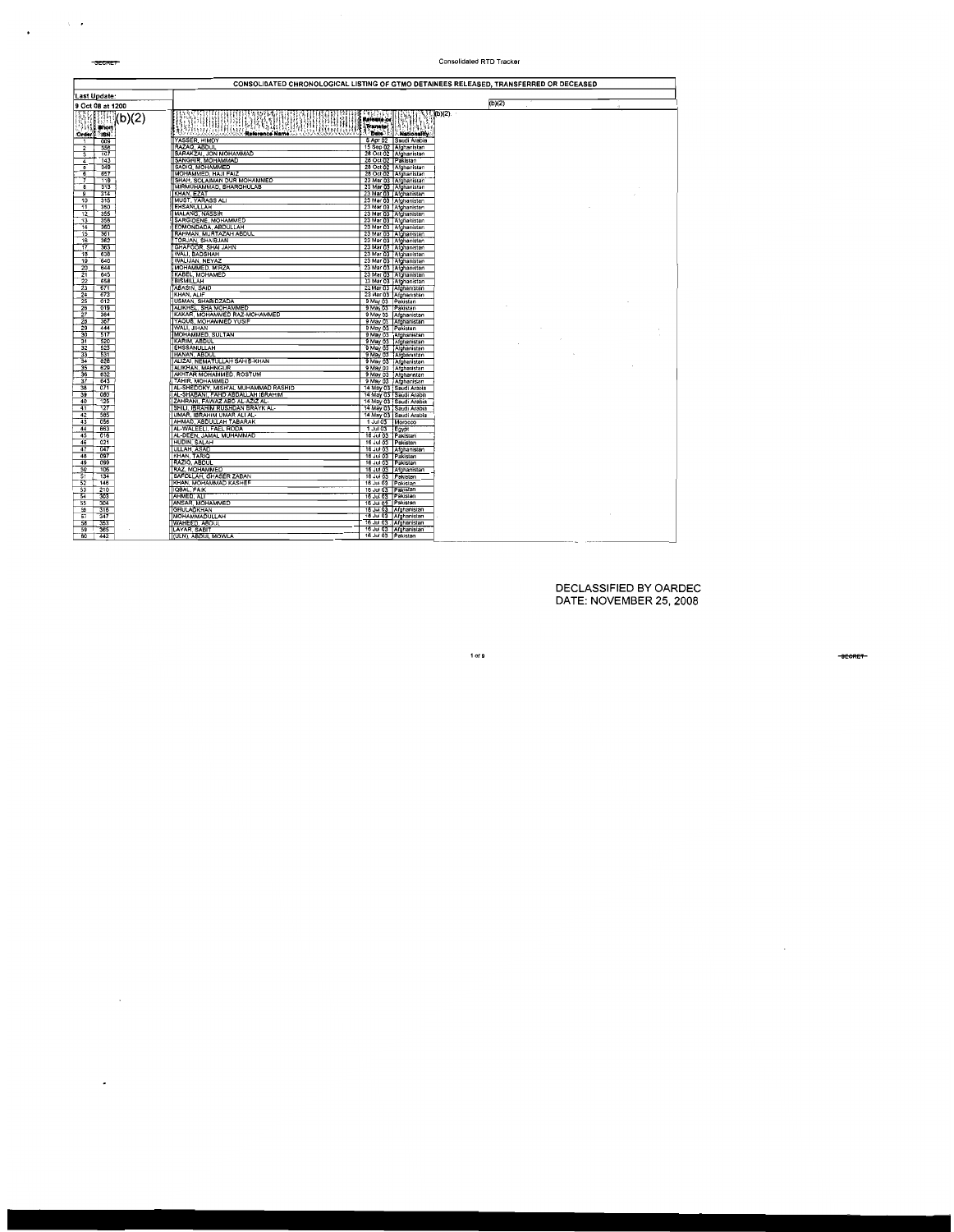|                                                                                                                                                                                                                                                                                                                                                                                                                                                                                                                                                                                                |                                                                                                                                                                                                                                                                                                                                                                                                                                                                                                                                                                                                                                                                                                                          | CONSOLIDATED CHRONOLOGICAL LISTING OF GTMO DETAINEES RELEASED, TRANSFERRED OR DECEASED                                                                                                                                                                                                                                                                                                                                                                                                                                                                                                                                                                                                                                                                                                                                      |
|------------------------------------------------------------------------------------------------------------------------------------------------------------------------------------------------------------------------------------------------------------------------------------------------------------------------------------------------------------------------------------------------------------------------------------------------------------------------------------------------------------------------------------------------------------------------------------------------|--------------------------------------------------------------------------------------------------------------------------------------------------------------------------------------------------------------------------------------------------------------------------------------------------------------------------------------------------------------------------------------------------------------------------------------------------------------------------------------------------------------------------------------------------------------------------------------------------------------------------------------------------------------------------------------------------------------------------|-----------------------------------------------------------------------------------------------------------------------------------------------------------------------------------------------------------------------------------------------------------------------------------------------------------------------------------------------------------------------------------------------------------------------------------------------------------------------------------------------------------------------------------------------------------------------------------------------------------------------------------------------------------------------------------------------------------------------------------------------------------------------------------------------------------------------------|
|                                                                                                                                                                                                                                                                                                                                                                                                                                                                                                                                                                                                |                                                                                                                                                                                                                                                                                                                                                                                                                                                                                                                                                                                                                                                                                                                          |                                                                                                                                                                                                                                                                                                                                                                                                                                                                                                                                                                                                                                                                                                                                                                                                                             |
|                                                                                                                                                                                                                                                                                                                                                                                                                                                                                                                                                                                                |                                                                                                                                                                                                                                                                                                                                                                                                                                                                                                                                                                                                                                                                                                                          | (b)(2)                                                                                                                                                                                                                                                                                                                                                                                                                                                                                                                                                                                                                                                                                                                                                                                                                      |
| <b>Last Update:</b><br>9 Oct 08 at 1200<br>(b)(2)<br>Short<br>ិនេង<br>Order<br>009<br>-1<br>356<br>$\overline{2}$<br>107<br>3<br>143<br>4<br>349<br>5<br>657<br>$\overline{\mathbf{6}}$<br>119<br>313<br>8<br>314<br>$\overline{\mathbf{g}}$<br>10<br>315<br>11<br>350<br>12<br>355<br>13<br>358<br>360<br>14<br>15<br>361<br>362<br>16<br>17<br>363<br>638<br>18<br>19<br>640<br>20<br>644<br>$\overline{21}$<br>645<br>$\overline{22}$<br>658<br>23<br>671<br>673<br>24<br>012<br>25<br>26<br>019<br>$\overline{27}$<br>364<br>$\overline{28}$<br>367<br>$\overline{29}$<br>444<br>517<br>30 | <u>Menuhic</u><br>Reference Name 35 VASSA VASSA VASS<br><b>IYASSER, HIMOY</b><br>RAZAQ, ABDUL<br>BARAKZAI, JON MOHAMMAD<br>SANGHIR, MOHAMMAD<br>SADIO, MOHAMMED<br>MOHAMMED, HAJI FAIZ<br>ISHAH, SOLAIMAN DUR MOHAMMED<br>MIRMUHAMMAD, SHARGHULAB<br>KHAN, EZAT<br>MUST, YARASS ALI<br>EHSANULLAH<br>MALANG, NASSIR<br>SARGIDENE, MOHAMMED<br>EDMONDADA, ABDULLAH<br><b>RAHMAN, MURTAZAH ABDUL</b><br>TORJAN SHAIBJAN<br>GHAFOOR, SHAI JAHN<br>WALI, BADSHAH<br>WALIJAN, NEYAZ<br>MOHAMMED, MIRZA<br>KABEL, MOHAMED<br>BISMILLAH<br>ABASIN, SAID<br>KHAN, ALIF<br>USMAN, SHABIDZADA<br>TALIKHEL, SHA MOHAMMED<br>KAKAR, MOHAMMED RAZ-MOHAMMED<br>YAQUB, MOHAMMED YUSIF<br>WALI, JIHAN                                    | $(b)(2)$ .<br><b>Release of</b><br><b><i><u>Stremener</u></i></b><br>Date Nationality<br>5 Apr 02 Saudi Arabia<br>15 Sep 02 Afghanistan<br>28 Oct 02 Afghanistan<br>28 Oct 02 Pakistan<br>28 Oct 02 Afghanistan<br>28 Oct 02 Afghanistan<br>23 Mar 03 Afghanistan<br>23 Mar 03 Afghanistan<br>23 Mar 03   Afghanistan<br>23 Mar 03 Afghanistan<br>23 Mar 03 Afghanistan<br>23 Mar 03 Afghanistan<br>23 Mar 03 Afghanistan<br>23 Mar 03 Afghanistan<br>23 Mar 03 Afghanistan<br>23 Mar 03 Afghanistan<br>23 Mar 03 Afohanistan<br>23 Mar 03 Afghanistan<br>23 Mar 03 Afghanistan<br>23 Mar 03 Afghanistan<br>23 Mar 03 Afghanistan<br>23 Mar 03 Afghanistan<br>23 Mar 03 Afghanistan<br>23 Mar 03 Afghanistan<br>9 May 03 Pakistan<br>9 May 03 Pakistan<br>9 May 03 Afghanistan<br>9 May 03 Afghanistan<br>9 May 03 Pakistan |
| $\overline{31}$<br>520<br>523<br>32<br>531<br>33<br>628<br>$\overline{34}$<br>35<br>629<br>$\overline{36}$<br>632<br>$\overline{37}$<br>643<br>071<br>38<br>080<br>39<br>125<br>$\overline{40}$<br>127<br>41<br>42<br>585<br>056<br>43<br>44<br>663<br>45<br>016<br>46<br>021<br>47<br>047<br>48<br>097<br>49<br>099<br>50<br>106<br>51<br>134<br>52<br>146<br>210<br>53<br>303<br>54<br>304<br>55<br>56<br>316<br>57<br>347<br>58<br>353<br>59<br>365<br>60<br>442                                                                                                                            | MOHAMMED, SULTAN<br>KARIM, ABDUL<br>EHSSANULLAH<br>HANAN, ABDUL<br>ALIZAI. NEMATULLAH SAHIB-KHAN<br>ALIKHAN, MAHNGUR<br>AKHTAR MOHAMMED, ROSTUM<br>TAHIR, MOHAMMED<br>AL-SHEDOKY, MISH'AL MUHAMMAD RASHID<br>AL-SHABANI, FAHD ABDALLAH IBRAHIM<br>ZAHRANI, FAWAZ ABD AL-AZIZ AL-<br>SHILI, IBRAHIM RUSHDAN BRAYK AL-<br>UMAR, IBRAHIM UMAR ALI AL-<br>AHMAD, ABDULLAH TABARAK<br>AL-WALEELI, FAEL RODA<br>AL-DEEN, JAMAL MUHAMMAD<br>HUDIN, SALAH<br><b>JULLAH, ASAD</b><br>KHAN, TARIO<br>RAZIO, ABDUI<br>RAZ, MOHAMMED<br><b>SAFOLLAH, GHASER ZABAN</b><br>KHAN, MOHAMMAD KASHEF<br>IQBAL, FAIK<br>AHMED, ALT<br>ANSAR, MOHAMMED<br>GHULADKHAN<br>MOHAMMADULLAH<br>WAHEED, ABDUL<br>ILAYAR SABIT<br>(ULN), ABOUL MOWLA | 9 May 03 Afghanistan<br>9 May 03 Afghanistan<br>9 May 03 Alghanistan<br>9 May 03 TAfghanistan<br>9 May 03 Afghanistan<br>9 May 03 Afghanistan<br>9 May 03 Afghanistan<br>9 May 03 Afghanistan<br>14 May 03 Saudi Arabia<br>14 May 03 Saudi Arabia<br>14 May 03 Saudi Arabia<br>14 May 03 Saudi Arabia<br>14 May 03 Saudi Arabia<br>1 Jul 03 Morocco<br>1 Jul 03 Egypt<br>16 Jul 03 Pakistan<br>16 Jul 03 Pakistan<br>16 Jul 03 Afghanistan<br>16 Jul 03 Pakistan<br>16 Jul 03 Pakistan<br>16 Jul 03 Afghanistan<br>16 Jul 03 Pakistan<br>16 Jul 03 Pakislan<br>15 Jul 03 Pakistan<br>16 Jul 03 Pakislan<br>16 Jul 03 Pakistan<br>16 Jul 03 Afghanistan<br>16 Jul 03 Afghanistan<br>16 Jul 03 Afghanistan<br>16 Jul 03 Afghanistan<br>16 Jul 03 Pakistan                                                                     |

 $\label{eq:2} \frac{1}{\sqrt{2\pi}}\int_{0}^{\infty}\frac{1}{\sqrt{2\pi}}\left(\frac{1}{\sqrt{2\pi}}\int_{0}^{\infty}\frac{1}{\sqrt{2\pi}}\left(\frac{1}{\sqrt{2\pi}}\right)^{2}d\mu\right)\frac{d\mu}{2\pi}d\mu.$ 

 $-$ secret

 $\sim$ 

 $\ddot{\phantom{a}}$ 

DECLASSIFIED BY OARDEC DATE: NOVEMBER 25, 2008

10f9

 $\sim$   $\sim$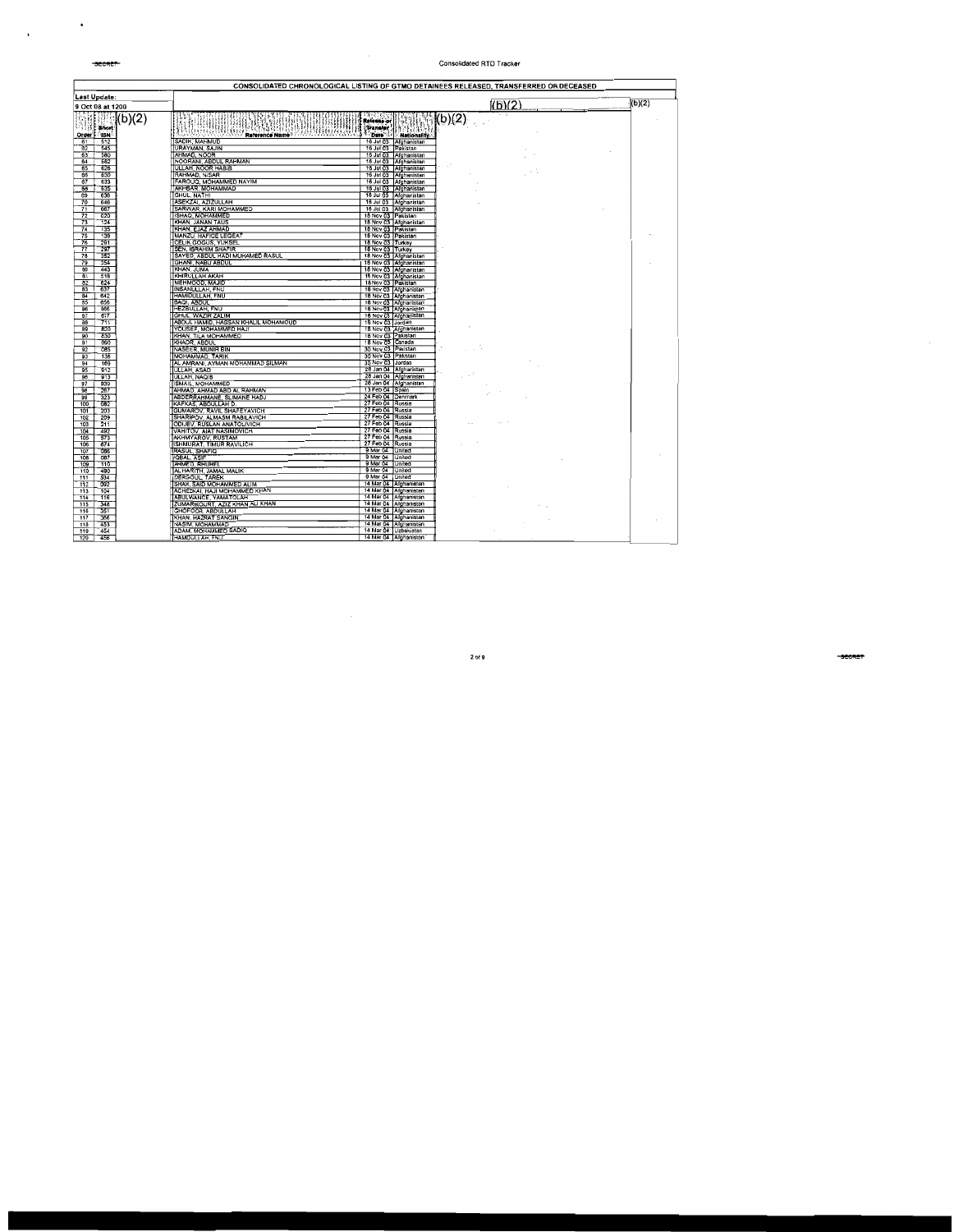| CONSOLIDATED CHRONOLOGICAL LISTING OF GTMO DETAINEES RELEASED. TRANSFERRED OR DECEASED                                                                   |                                                                                                                                                                                                         |                                                                                                                                                                                                                       |         |        |  |
|----------------------------------------------------------------------------------------------------------------------------------------------------------|---------------------------------------------------------------------------------------------------------------------------------------------------------------------------------------------------------|-----------------------------------------------------------------------------------------------------------------------------------------------------------------------------------------------------------------------|---------|--------|--|
| Last Update:                                                                                                                                             |                                                                                                                                                                                                         |                                                                                                                                                                                                                       |         |        |  |
| 9 Oct 08 at 1200                                                                                                                                         |                                                                                                                                                                                                         |                                                                                                                                                                                                                       | I(b)(2) | (b)(2) |  |
| (b)(2)<br>Short<br>Order   ISN<br>512<br>61<br>62<br>545<br>580<br>63<br>64<br>582<br>626<br>65                                                          | <b>MEULURE</b><br>Reference Name<br>SADIK, MAHMUD<br><b>URAYMAN, SAJIN</b><br>AHMAD, NOOR<br>NÖORANI, ABDUL RAHMAN<br>ULLAH, NOOR HABIB                                                                 | (b)(2)<br>Rolesse or<br>(Transfer)<br><b>SHIRANGULU</b><br><b>Date !!!</b><br>Nationality.<br>16 Jul 03 Afghanistan<br>16 Jul 03 TPakistan<br>16 Jul 03 Afghanistan<br>16 Jul 03 Afghanistan<br>16 Jul 03 Afghanistan |         |        |  |
| 630<br>66<br>$\overline{67}$<br>633<br>635<br>68<br>636<br>69<br>70<br>646<br>71<br>667<br>72<br>020<br>73<br>124                                        | RAHMAD, NISAR<br>FAROUQ, MOHAMMED NAYIM<br>AKHBAR, MOHAMMAD<br>GHUL, NATHI<br>ASEKZAI, AZIZULLAH<br>SARWAR, KARI MOHAMMED<br><b>ISHAQ, MOHAMMED</b><br>KHAN, JANAN TAUS                                 | 16 Jul 03 Afghanistan<br>16 Jul 03 Afghanistan<br>16 Jul 03 Afghanistan<br>16 Jul 03 Afghanistan<br>16 Jul 03 Afghanistan<br>16 Jul 03 Afghanistan<br>18 Nov 03 Pakistan<br>18 Nov 03 Afghanistan                     |         |        |  |
| 74<br>135<br>$\overline{75}$<br>139<br>76<br>291<br>$\overline{77}$<br>297<br>78<br>352<br>354<br>79<br>80<br>443<br>518<br>81<br>$\overline{82}$<br>624 | KHAN, EJAZ AHMAD<br>MANZU, HAFICE LEGEAT<br>CELIK GOGUS, YUKSEL<br><b>SEN, ISRAHIM SHAFIR</b><br>SAYED, ABDUL HADI MUHAMED RASUL<br>GHANI, NABU ABOUL<br>KHAN, JUMA<br>KHIRULLAH AKAH<br>MEHMOOD, MAJID | 18 Nov 03 Pakistan<br>18 Nov 03 Pakistan<br>18 Nov 03 Turkey<br>18 Nov 03 Turkey<br>18 Nov 03 Afghanistan<br>18 Nov 03 Afghanistan<br>18 Nov 03 Afghanistan<br>18 Nov 03 Afghanistan<br>18 Nov 03 Pakistan            |         |        |  |
| 83<br>637<br>84<br>642<br>85<br>656<br>666<br>86<br>677<br>87<br>88<br>711<br>$\overline{89}$<br>820<br>830<br>90                                        | INSANULLAH, FNU<br>HAMIDULLAH, FNU<br><b>BAQI, ABDUL</b><br>HEZBULLAH, FNU<br><b>GHUL, WAZIR ZALIM</b><br>ABOUL HAMID, HASSAN KHALIL MOHAMOUD<br>YOUSEF, MOHAMMED HAJ!<br>KHAN, TILA MOHAMMED           | 18 Nov 03 Afghanistan<br>18 Nov 03 Afghanistan<br>18 Nov 03 Afghanistan<br>18 Nov 03 Afghanistan<br>18 Nov 03 Afghanistan<br>18 Nov 03 Jordan<br>18 Nov 03 Afghanistan<br>18 Nov 03 Pakistan                          |         |        |  |
| 990<br>91<br>085<br>92<br>136<br>93<br>169<br>94<br>912<br>95<br>913<br>96<br>930<br>97<br>267<br>98                                                     | KHADR, ABOUL<br>NASEER, MUNIR BIN<br><b>MOHAMMAD, TARIK</b><br>AL AMRANI, AYMAN MOHAMMAD SILMAN<br>ULLAH, ASAD<br><b>ULLAH, NAQIB</b><br>ISMAIL, MOHAMMED<br>AHMAD, AHMAD ABD AL RAHMAN                 | 18 Nov 03 Canada<br>30 Nov 03 Pakistan<br>30 Nov 03 Pakistan<br>30 Nov 03 Jundan<br>28 Jan 04   Afghanistan<br>28 Jan 04 Afghanistan<br>28 Jan 04 Afghanistan<br>13 Feb 04 Spain                                      |         |        |  |
| 323<br>99<br>082<br>100<br>203<br>101<br>209<br>102<br>211<br>103<br>492<br>104<br>105<br>573                                                            | ABDERRAHMANE, SLIMANE HADJ<br>KAFKAS, ABOULLAH D.<br><b>IGUMAROV, RAVIL SHAFEYAVICH</b><br>SHARIPOV, ALMASM RABILAVICH<br>ODIJEV, RUSLAN ANATOLIVICH<br>VAHITOV, AIAT NASIMOVICH<br>AKHMYAROV, RUSTAM   | 24 Feb 04 Denmark<br>27 Feb 04 Russia<br>27 Feb 04 Russia<br>27 Feb 04 Russia<br>27 Feb 04 Russia<br>27 Feb 04 Russia<br>27 Feb 04 Russia                                                                             |         |        |  |
| 674<br>106<br>086<br>107<br>087<br>108<br>110<br>109<br>490<br>110<br>534<br>111<br>092<br>112<br>104<br>113                                             | ISHMURAT, TIMUR RAVILICH<br><b>RASUL SHAFIG</b><br><b>IQBAL, ASIF</b><br>AHMED, RHUHEL<br>AL HARITH, JAMAL MALIK<br><b>DERGOUL TAREK</b><br>SHAH, SAID MOHAMMED ALIM<br>ACHEZKAI, HAJI MOHAMMED KHAN    | 27 Feb 04 Russia<br>9 Mar 04 United<br>9 Mar 04 United<br>9 Mar 04 United<br>9 Mar 04 United<br>9 Mar 04 United<br>14 Mar 04 Afghanistan<br>14 Mar 04 Afghanistan                                                     |         |        |  |
| 114<br>116<br>348<br>115<br>351<br>116<br>366<br>117<br>453<br>118<br>119<br>454<br>120<br>456                                                           | ABULWANCE, YAMATOLAH<br><b>ZUMARIKOURT, AZIZ KHAN ALI KHAN</b><br>GHOFOOR, ABDULLAH<br>KHAN, HAZRAT SANGIN<br>NASIM, MOHAMMAD<br><b>ADAM, MOHAMMED SADIO</b><br>HAMDULLAH, FNU                          | 14 Mar 04 Afghanistan<br>14 Mar 04 Afghanistan<br>14 Mar 04 Afghanistan<br>14 Mar 04 Afghanistan<br>14 Mar 04 Afghanistan<br>14 Mar 04 Uzbekistan<br>14 Mar 04 Afghanistan                                            |         |        |  |

 $\epsilon_{\rm{max}}$ 

 $\rightarrow$ 

 $\overline{ }$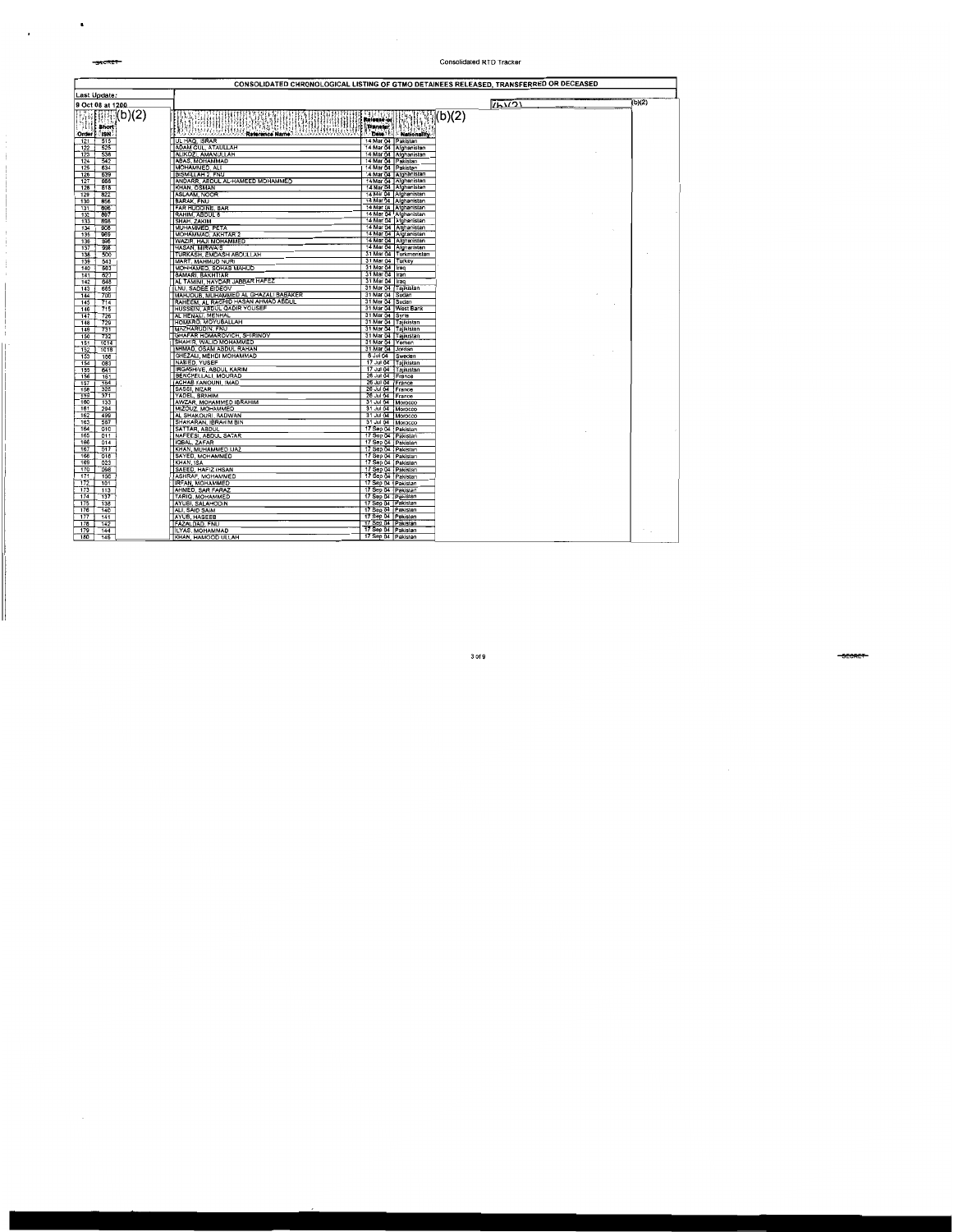$\overline{\phantom{a}}$ 

 $\mathcal{F}(\mathcal{F})$  and  $\mathcal{F}(\mathcal{F})$ 

# Consolidated RTD Tracker

|                           |                                                           | CONSOLIDATED CHRONOLOGICAL LISTING OF GTMO DETAINEES RELEASED, TRANSFERRED OR DECEASED |        |
|---------------------------|-----------------------------------------------------------|----------------------------------------------------------------------------------------|--------|
| Last Update:              |                                                           |                                                                                        |        |
| 9 Oct 08 at 1200          |                                                           | (h)/2)                                                                                 | (b)(2) |
| (b)(2)                    |                                                           | <b>Release or</b><br>(b)(2                                                             |        |
| <b>Short</b>              | :1HJI)                                                    | <b>Transfer</b>                                                                        |        |
| Order   ISN               | Mundi<br>18888688<br>Reference Name                       | Deta <sup>11</sup> : Nationality                                                       |        |
| 515<br>121                | UL HAQ, ISRAR                                             | 14 Mar 04 Pakistan                                                                     |        |
| 525<br>122                | ADAM GUL, ATAULLAH                                        | 14 Mar 04 Afghanistan                                                                  |        |
| 538<br>123                | ALIKOZI, AMANULLAH                                        | 14 Mar 04 Afghanistan                                                                  |        |
| 542<br>124<br>634<br>125  | <b>ABAS, MOHAMMAD</b><br>MOHAMMED, ALI                    | 14 Mar 04 Pakistan<br>14 Mar 04 Pakistan                                               |        |
| 126<br>639                | <b>BISMILLAH 2 FNU</b>                                    | 14 Mar 04 Afghanistan                                                                  |        |
| 127<br>668                | ANDARR, ABDUL AL-HAMEED MOHAMMED                          | 14 Mar 04 Afghanistan                                                                  |        |
| 128<br>818                | KHAN, OSMAN                                               | 14 Mar 04 Afghanistan                                                                  |        |
| 822<br>129                | ASLAAM, NOOR                                              | 14 Mar 04 Afghanistan                                                                  |        |
| 856<br>130<br>896<br>131  | <b>BARAK, FNU</b><br><b>FAR HUDDINE, BAR</b>              | 14 Mar 04 Afghanistan<br>14 Mar 04 Afghanistan                                         |        |
| 897<br>132                | RAHIM, ABOUL 6                                            | 14 Mar 04 Afghanislan                                                                  |        |
| 133<br>898                | SHAH, ZAKIM                                               | 14 Mar 04 Afghanistan                                                                  |        |
| 908<br>134                | <b>MUHAMMED, PETA</b>                                     | 14 Mar 04 Afghanistan                                                                  |        |
| 135<br>969                | MOHAMMAD, AKHTAR 2                                        | 14 Mar 04 Afghanistan                                                                  |        |
| 996<br>136<br>998<br>137  | WAZIR, HAJI MOHAMMED<br>HASAN, MIRWAIS                    | 14 Mar 04 Afghanistan                                                                  |        |
| 136<br>500                | <b>TURKASH, EMDASH ABDULLAH</b>                           | 14 Mar 04 Afghanistan<br>31 Mar 04 Turkmenistan                                        |        |
| 139<br>543                | MART, MAHMUD NURI                                         | 31 Mar 04 Turkey                                                                       |        |
| 140<br>563                | MOHHAMED, SOHAB MAHUD                                     | 31 Mar 04   Iraq                                                                       |        |
| 141<br>623                | <b>BAMARI, BAKHTIAR</b>                                   | 31 Mar 04 Iran                                                                         |        |
| 648<br>142                | AL TAMIMI, HAYDAR JABBAR HAFEZ                            | 31 Mar 04 Traq                                                                         |        |
| 665<br>143<br>700<br>144  | LNU, SADEE EIDEOV<br>MAHJOUB, MUHAMMED AL GHAZALI BABAKER | 31 Mar 04 Tajlustan<br>31 Mar 04 Sudan                                                 |        |
| 714<br>145                | RAHEEM, AL RACHIO HASAN AHMAO ABDUL                       | 31 Mar 04 Sudan                                                                        |        |
| 715<br>146                | <b>HUSSEIN, ABDUL OADIR YOUSEF</b>                        | 31 Mar 04 West Bank                                                                    |        |
| 726<br>147                | AL HENALI, MENHAL                                         | 31 Mar 04 Syria                                                                        |        |
| 729<br>148                | HOMARO, MOYUBALLAH                                        | 31 Mar 04 Tailkistan                                                                   |        |
| 731<br>149                | MAZHARUDIN, FNU                                           | 31 Mar 04 Talikistan                                                                   |        |
| 732<br>150<br>1014<br>151 | GHAFAR HOMAROVICH, SHIRINOV<br>SHAHIR, WALIO MOHAMMED     | 31 Mar 04 Tajikistan<br>31 Mar 04 TYemen                                               |        |
| 1018<br>152               | AHMAD, OSAM ABDUL RAHAN                                   | 31 Mar 04 Jordan                                                                       |        |
| 153<br>166                | GHEZALI, MEHDI MOHAMMAD                                   | 8 Jul 04 Sweden                                                                        |        |
| 154<br>083                | NABIED, YUSEF                                             | 17 Jul 04 Tajikistan                                                                   |        |
| 155<br>641                | <b>RGASHIVE, ABOUL KARIM</b>                              | 17 Jul 04 Tajikistan                                                                   |        |
| 156<br>161<br>157<br>164  | BENCHELLALI, MOURAD<br>ACHAB KANOUNI, IMAD                | 26 Jul 04 France<br>26 Jul 04 France                                                   |        |
| 325<br>158                | <b>SASSI, NIZAR</b>                                       | 26 Jul 04 France                                                                       |        |
| 159<br>371                | YADEL, BRAHIM                                             | 26 Jul 04   France                                                                     |        |
| 160<br>133                | AWZAR, MOHAMMED IBRAHIM                                   | 31 Jul 04 Morocco                                                                      |        |
| 161<br>294                | MIZOUZ, MOHAMMED                                          | 31 Jul 04 Morocco                                                                      |        |
| 162<br>499<br>163<br>587  | AL SHAKOURI, RADWAN<br>SHAKARAN, IBRAHIM BIN              | 31 Jul 04 Morocco<br>31 Jul 04 Moracco                                                 |        |
| 164<br>010                | SATTAR, ABDUL                                             | 17 Sep 04 Pakistan                                                                     |        |
| 165<br>011                | NAFEESI, ABDUL SATAR                                      | 17 Sep 04 Pakistan                                                                     |        |
| 166<br>014                | IQBAL ZAFAR                                               | 17 Sep 04   Pakistan                                                                   |        |
| 167<br>$\overline{017}$   | KHAN, MUHAMMED IJAZ                                       | 17 Sep 04 Pakistan                                                                     |        |
| 168<br>018<br>169<br>023  | SAYED, MOHAMMED<br>KHAN, ISA                              | 17 Sep 04 Pakistan<br>17 Sep 04 Pakistan                                               |        |
| 170<br>098                | SAEED, HAFIZ IHSAN                                        | 17 Sep 04 Pakistan                                                                     |        |
| 171<br>100                | ASHRAF, MOHAMMED                                          | 17 Sep 04 Pakistan                                                                     |        |
| 172<br>101                | <b>IRFAN, MOHAMMED</b>                                    | 17 Sep 04 Pakistan                                                                     |        |
| 173<br>113                | AHMED, SAR FARAZ                                          | 17 Sep 04 Pakistan                                                                     |        |
| 174<br>137                | TARIO, MOHAMMED                                           | 17 Sep 04 Pakistan                                                                     |        |
| 175<br>138<br>176<br>140  | AYUBI, SALAHODIN<br>ALI, SAID SAIM                        | 17 Sep 04 Pakistan<br>17 Sep 04 Pakistan                                               |        |
| $\overline{177}$<br>141   | AYUB, HASEEB                                              | 17 Sep 04 Pakistan                                                                     |        |
| 178<br>142                | FAZALDAD, FNU                                             | 17 Sep 04   Pakistan                                                                   |        |
| 179<br>144                | ILYAS, MOHAMMAD                                           | 17 Sep 04 Pakistan                                                                     |        |
| 180<br>145                | KHAN, HAMOOD ULLAH                                        | 17 Sep 04 Pakistan                                                                     |        |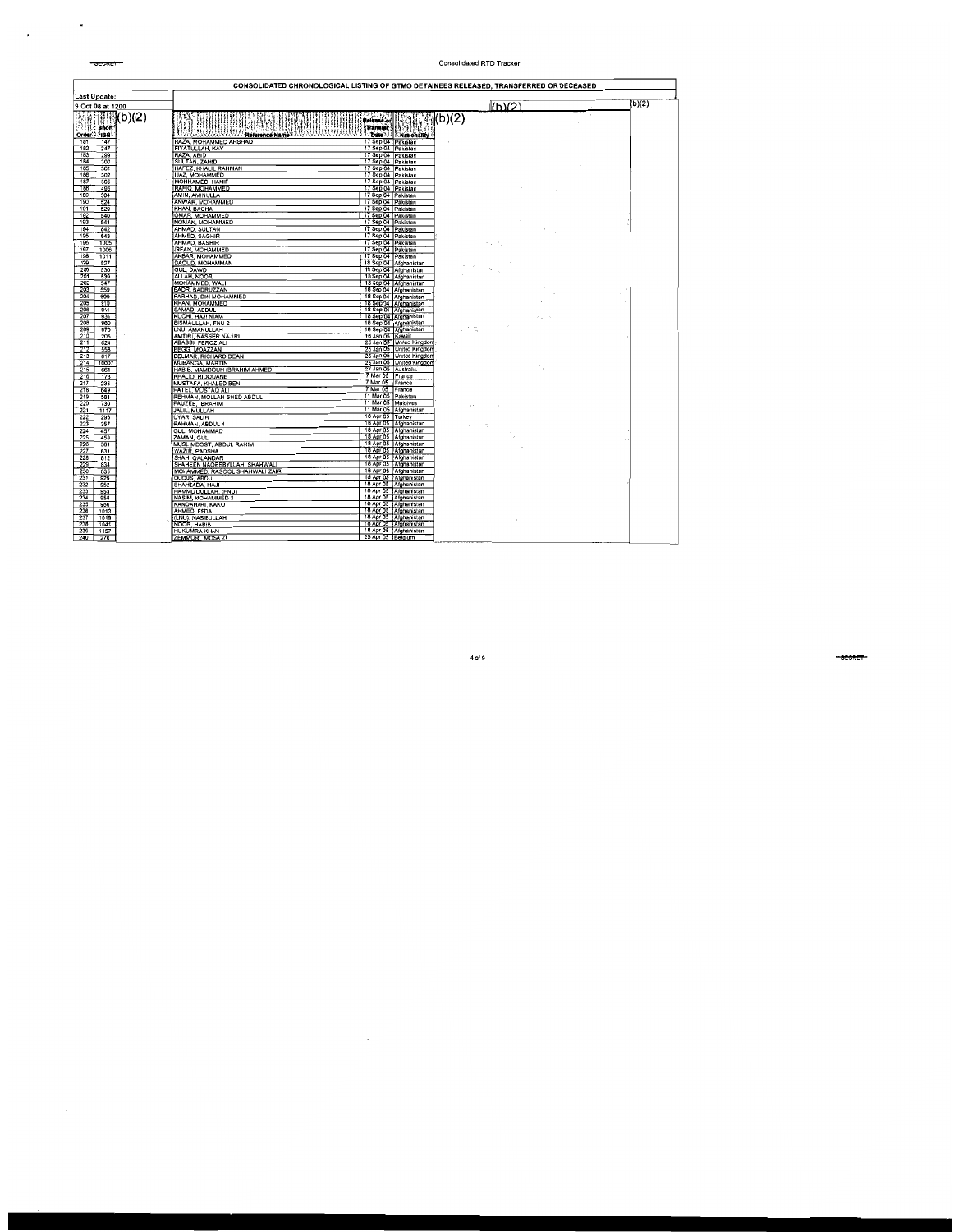$\overline{\phantom{a}}$ 

# Consolidated RTD Tracker

|                                              |                                                | CONSOLIDATED CHRONOLOGICAL LISTING OF GTMO DETAINEES RELEASED, TRANSFERRED OR DECEASED |        |
|----------------------------------------------|------------------------------------------------|----------------------------------------------------------------------------------------|--------|
| Last Update:                                 |                                                |                                                                                        |        |
| 9 Oct 08 at 1200                             |                                                | (h)(2)                                                                                 | (b)(2) |
| (2)<br><b>ISS IS</b><br>lati<br><b>Short</b> |                                                | <b>A 4 60 1 5 1</b><br>(b)(2<br>Release of<br><b>Transfer</b>                          |        |
| Order F. ISN.<br>181<br>147                  | RAZA, MOHAMMED ARSHAD                          | 1.00011<br>Nationality<br>17 Sep 04 Pakistan                                           |        |
| 182<br>247                                   | FIYATULLAH. KAY                                | 17 Sep 04 Pakistan                                                                     |        |
| 183<br>299                                   | RAZA, ABID                                     | 17 Sep 04 Pakistan                                                                     |        |
| 184<br>300                                   | SULTAN, ZAHID                                  | 17 Sep 04 Pakistan                                                                     |        |
| 185<br>301<br>186<br>302                     | HAFEZ, KHALIL RAHMAN<br>IJAZ, MOHAMMED         | 17 Sep 04 Pakistan<br>17 Sep 04 Pakistan                                               |        |
| 187<br>305                                   | <b>MOHHAMED, HANIF</b>                         | 17 Sep 04 Pakistan                                                                     |        |
| 188<br>495                                   | RAFIQ, MOHAMMED                                | 17 Sep 04 Pakistan                                                                     |        |
| 189<br>504                                   | AMIN, AMINULLA                                 | 17 Sep 04 Pakistan                                                                     |        |
| 190<br>524                                   | ANWAR, MOHAMMED                                | 17 Sep 04 Pakistan                                                                     |        |
| 191<br>529                                   | <b>KHAN, BACHA</b>                             | 17 Sep 04 Pakistan<br>17 Sep 04 Pakistan                                               |        |
| 192<br>540<br>193<br>541                     | OMAR, MOHAMMED<br>NOMAN, MOHAMMED              | 17 Sep 04 Pakistan                                                                     |        |
| 194<br>842                                   | AHMAD, SULTAN                                  | 17 Sep 04 Pakistan                                                                     |        |
| 195<br>843                                   | AHMED, SAGHIR                                  | 17 Sep 04 Pakistan                                                                     |        |
| 196<br>1005                                  | AHMAD, BASHIR                                  | 17 Sep 04 Pakistan                                                                     |        |
| 197<br>1006                                  | <b>IRFAN MOHAMMED</b>                          | 17 Sep 04 Pakistan                                                                     |        |
| 198<br>1011<br>199<br>527                    | AKBAR, MOHAMMED<br>DAOUD, MOHAMMAN             | 17 Sep 04 Pakistan<br>18 Sep 04 Afghanistan                                            |        |
| 200<br>530                                   | GUL, DAWD                                      | 18 Sep 04 Afghanistan                                                                  |        |
| 201<br>539                                   | ALLAH, NOOR                                    |                                                                                        |        |
| 202<br>547                                   | MOHAMMED, WALI                                 | 18 Sep 04 Afghanistan<br>18 Sep 04 Afghanistan                                         |        |
| 203<br>559                                   | BADR, BADRUZZAN                                | 18 Sep 04 Afghanistan                                                                  |        |
| 204<br>699                                   | FARHAD, DIN MOHAMMED                           | 18 Sep 04 Afghanistan                                                                  |        |
| 205<br>910<br>206<br>911                     | KHAN, MOHAMMED<br>SAMAD, ABDUL                 | 18 Sep 04 Afghanistan<br>18 Sep 04 Afghanistan                                         |        |
| 207<br>931                                   | KUCHI, HAJI NIAM                               | 18 Sep 04 Afghanistan                                                                  |        |
| 208<br>960                                   | <b>BISMAULLAH, FNU 2</b>                       | 18 Sep 04 Afghanistan                                                                  |        |
| 209<br>970                                   | LNU, AMANULLAH                                 | $\sim$ $\frac{12}{16}$<br>18 Sep 04 Afghanistan                                        |        |
| 210<br>205                                   | AMTIRI, NASSER NAJIRI                          | 16 Jan 05 Kuwait                                                                       |        |
| 211<br>024<br>212<br>558                     | ABASSI, FEROZ ALI<br><b>BEGG, MOAZZAN</b>      | 25 Jan 05 United Kingdom<br>25 Jan 05 United Kingdom                                   |        |
| 213<br>817                                   | BELMAR, RICHARD DEAN                           | 25 Jan 05 United Kingdom                                                               |        |
| 214<br>10007                                 | <b>MUBANGA MARTIN</b>                          | 25 Jan 05 United Kingdom                                                               |        |
| 215<br>661                                   | HABIB, MAMDOUH IBRAHIM AHMED                   | 27 Jan 05 Australia                                                                    |        |
| 216<br>173                                   | KHALID, RIDOUANE                               | 7 Mar 05 France                                                                        |        |
| 217<br>236                                   | MUSTAFA, KHALED BEN                            | 7 Mar 05 France                                                                        |        |
| 218<br>649<br>219<br>581                     | PATEL, MUSTAQ ALI<br>REHMAN, MOLLAH SHED ABDUL | 7 Mar 05 France<br>11 Mar 05 Pakistan                                                  |        |
| 220<br>730                                   | FAUZEE, IBRAHIM                                | 11 Mar 05 Maidives                                                                     |        |
| 221<br>1117                                  | JALIL, MULLAH                                  | 11 Mar 05 Afghanistan                                                                  |        |
| 222<br>296                                   | UYAR, SALIH                                    | 18 Apr 05 Turkey                                                                       |        |
| 223<br>357                                   | RAHMAN, ABDUL 4                                | 18 Apr 05 Afghanistan                                                                  |        |
| 224<br>457                                   | GUL, MOHAMMAD                                  | 18 Apr 05 Afghanistan                                                                  |        |
| 225<br>458<br>226<br>561                     | ZAMAN, GUL<br>MUSLIMDOST, ABDUL RAHIM          | 18 Apr 05 Afghanistan<br>18 Apr 05 Afghanistan                                         |        |
| 227<br>631                                   | WAZIR, PADSHA                                  | 18 Apr 05 Afghanistan                                                                  |        |
| 228<br>812                                   | SHAH, OALANDAR                                 |                                                                                        |        |
| 229<br>834                                   | SHAHEEN NAQEEBYLLAH, SHAHWALI                  | 18 Apr 05 Afghanistan<br>18 Apr 05 Afghanistan                                         |        |
| 230<br>835                                   | MOHAMMED, RASOOL SHAHWALI ZAIR                 | 18 Apr 05 Afghanistan                                                                  |        |
| 231<br>929                                   | QUOUS, ABOUL                                   | 18 Apr 05 Afghanistan                                                                  |        |
| 232<br>952<br>233<br>953                     | SHAHZADA, HAJI<br>HAMMDIDULLAH, (FNU)          | 18 Apr 05 Afghanistan<br>18 Apr 05 Afghanistan                                         |        |
| 234<br>958                                   | NASIM, MOHAMMED 3                              | 18 Apr 05 Afghanistan                                                                  |        |
| 235<br>966                                   | KANDAHARI, KAKO                                | 18 Apr 05 Afghanistan<br>18 Apr 05 Afghanistan                                         |        |
| 236<br>1013                                  | AHMED, FEDA                                    |                                                                                        |        |
| 237<br>1019<br>236<br>1041                   | (LNU), NASIBULLAH<br>NOOR, HABIB               | 18 Apr 05 Afghanistan                                                                  |        |
| 239<br>1157                                  | <b>HUKUMRA KHAN</b>                            | 18 Apr 05 Afghanistan<br>18 Apr 05 Afghanistan                                         |        |
|                                              | ZEMMORI, MOSA ZI                               | 25 Apr 05 Belgium                                                                      |        |

 $4$  of 9

 $\bar{z}$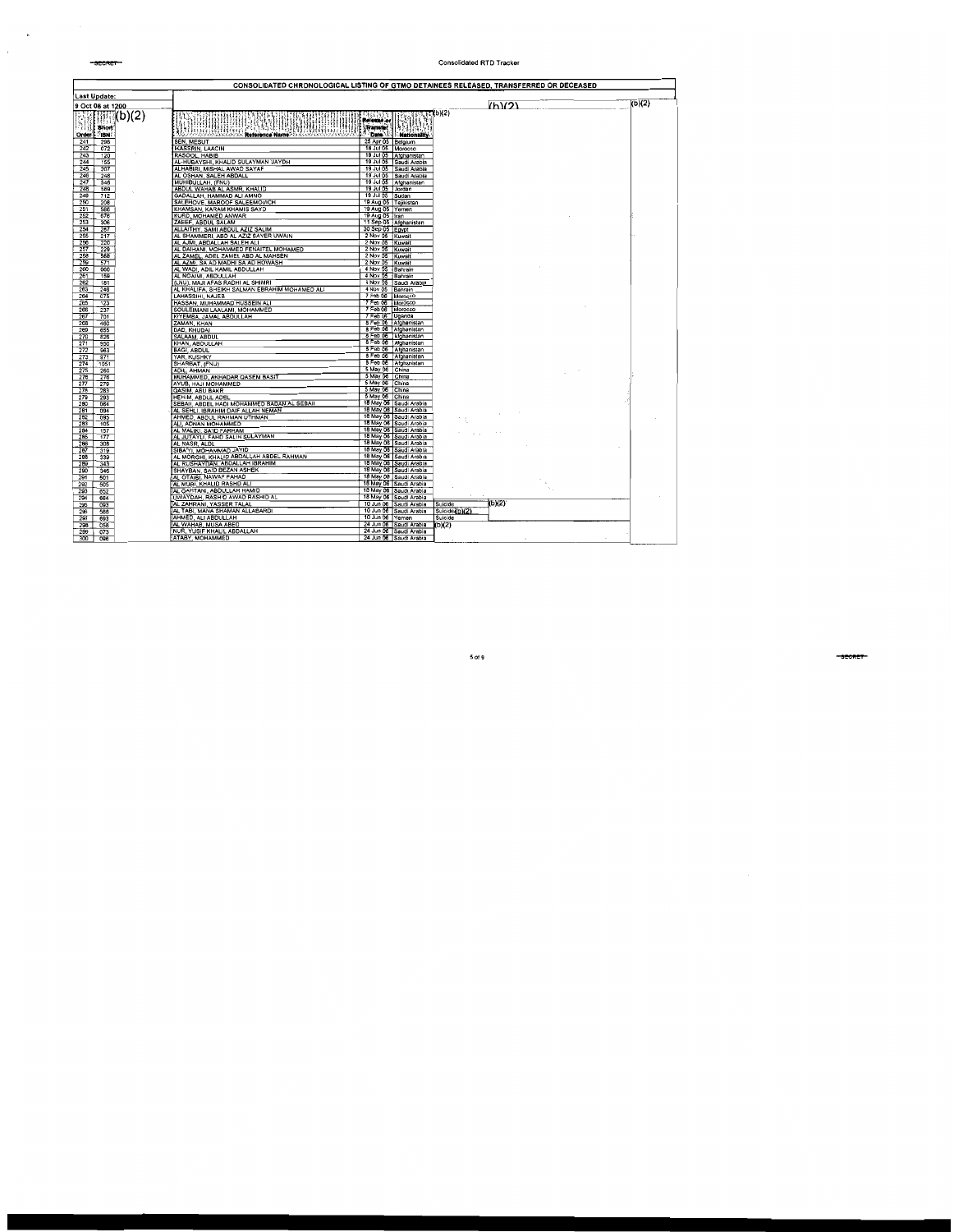| CONSOLIDATED CHRONOLOGICAL LISTING OF GTMO DETAINEES RELEASED, TRANSFERRED OR DECEASED |                                                                             |                                                  |                                |        |
|----------------------------------------------------------------------------------------|-----------------------------------------------------------------------------|--------------------------------------------------|--------------------------------|--------|
| <b>Last Update:</b>                                                                    |                                                                             |                                                  |                                |        |
| 9 Oct 08 at 1200                                                                       |                                                                             |                                                  | (h)(2)                         | (b)(2) |
| b)(2)                                                                                  |                                                                             | <b>197711.4</b>                                  | TT(b)(2)                       |        |
|                                                                                        |                                                                             | Release or                                       |                                |        |
| <b>Short</b><br>- 11<br>$-18N$<br>Order <sup>:</sup>                                   | (1111)<br>UUAGAHAN S<br>Reference Name                                      | <b>Transfer</b><br>Dute Nationally               |                                |        |
| 241<br>296                                                                             | <b>SEN, MESUT</b>                                                           | 25 Apr 05 Belgium                                |                                |        |
| 242<br>072                                                                             | <b>IKASSRIN, LAACIN</b>                                                     | 18 Jul 05 Morocco                                |                                |        |
| 243<br>120                                                                             | RASOOL, HABIB                                                               | 19 Jul 05 Afghanistan                            |                                |        |
| 244<br>155                                                                             | AL-HUBAYSHI, KHALID SULAYMAN 'JAYDH                                         | 19 Jul 05 Saudi Arabia                           |                                |        |
| 245<br>207<br>246<br>248                                                               | ALHABIRI, MISHAL AWAD SAYAF<br>AL OSHAN, SALEH ABDALL                       | 19 Jul 05 Saudi Arabia<br>19 Jul 05 Saudi Arabia |                                |        |
| 247<br>546                                                                             | MUHIBULLAH, (FNU)                                                           |                                                  |                                |        |
| 248<br>589                                                                             | ABDUL WAHAB AL ASMR, KHALID                                                 | 19 Jul 05 Afghanistan                            |                                |        |
| 249<br>712                                                                             | GADALLAH, HAMMAD ALI AMNO                                                   | 19 Jul 05 Sudan                                  |                                |        |
| 250<br>208                                                                             | SALEHOVE, MAROOF SALEEMOVICH                                                | 19 Aug 05 Tajikistan                             |                                |        |
| 251<br>586<br>676<br>252                                                               | KHAMSAN, KARAM KHAMIS SAYD<br>KURD, MOHAMED ANWAR                           | 19 Aug 05 Yemen<br>19 Aug 05 Iran                |                                |        |
| 253<br>306                                                                             | ZAEEF, ABDUL SALAM                                                          |                                                  |                                |        |
| 254<br>287                                                                             | ALLAITHY, SAMI ABDUL AZIZ SALIM                                             | 11 Sep 05 Afghanistan<br>30 Sep 05 Egypt         |                                |        |
| 255<br>217                                                                             | AL SHAMMERI, ABD AL AZIZ SAYER UWAIN                                        | 2 Nov 05 Kuwait                                  |                                |        |
| 256<br>220<br>229<br>257                                                               | AL AJMI, ABDALLAH SALEH ALI                                                 | 2 Nov 05 Kuwait                                  |                                |        |
| 258<br>568                                                                             | AL DAIHANI, MOHAMMED FENAITEL MOHAMED<br>AL ZAMEL, ADEL ZAMEL ABD AL MAHSEN | 2 Nov 05 Kuwait<br>2 Nov 05 Kuwait               |                                |        |
| 259<br>571                                                                             | AL AZMI, SA AD MADHI SA AD HOWASH                                           | 2 Nov 05 Kuwait                                  |                                |        |
| 260<br>060                                                                             | AL WADI, ADIL KAMIL ABDULLAH                                                | 4 Nov 05 Bahrain                                 |                                |        |
| 261<br>159                                                                             | AL NOAIMI, ABDULLAH                                                         | 4 Nov 05 Bahrain                                 |                                |        |
| 262<br>181                                                                             | (LNU), MAJI AFAS RADHI AL SHIMRI                                            | 4 Nov 05 Saudi Arabia                            |                                |        |
| 263<br>246<br>264<br>075                                                               | AL KHALIFA, SHEIKH SALMAN EBRAHIM MOHAMED ALI<br>LAHASSIHI, NAJEB           | 4 Nov 05 Bahrain<br>7 Feb 06 Morocco             |                                |        |
| 265<br>123                                                                             | HASSAN, MUHAMMAD HUSSEIN ALI                                                | 7 Feb 06 Morocco                                 |                                |        |
| 266<br>237                                                                             | SOULEIMANI LAALAMI, MOHAMMED                                                | 7 Feb 06 Morocco                                 |                                |        |
| 267<br>701                                                                             | KIYEMBA, JAMAL ABDULLAH                                                     | 7 Feb 06 Uganda                                  |                                |        |
| 268<br>460                                                                             | ZAMAN, KHAN                                                                 | 8 Feb 06 Afghanistan                             |                                |        |
| 269<br>655                                                                             | DAD, KHUDAI                                                                 | 8 Feb 06 Afghanistan                             |                                |        |
| 270<br>826<br>271<br>950                                                               | SALAAM, ABDUL<br>KHAN, ABOULLAH                                             | 8 Feb 06 Afghanistan<br>8 Feb 06 Afghanistan     |                                |        |
| 272<br>963                                                                             | <b>BAGI, ABDUL</b>                                                          | 8 Feb 06 Afghanistan                             |                                |        |
| 273<br>971                                                                             | YAR, KUSHKY                                                                 | 8 Feb 06 Afghanistan                             |                                |        |
| 274<br>1051                                                                            | SHARBAT, (FNU)                                                              | 8 Feb 06 Afghanistan                             |                                |        |
| 275<br>260                                                                             | <b>ADIL, AHMAN</b>                                                          | 5 May 06 China                                   |                                |        |
| 276<br>276<br>277<br>279                                                               | MUHAMMED, AKHADAR QASEM BASIT<br>AYUB, HAJI MOHAMMED                        | 5 May 06 China<br>5 May 06 China                 |                                |        |
| 278<br>283                                                                             | <b>QASIM, ABU BAKR</b>                                                      | 5 May 06 China                                   |                                |        |
| 279<br>293                                                                             | HEHIM, ABDUL ADEL                                                           | 5 May 06 China                                   |                                |        |
| 280<br>064                                                                             | SEBAII, ABDEL HADI MOHAMMED BADAN AL SEBAII                                 | 18 May 06 Saudi Arabia                           |                                |        |
| 281<br>094                                                                             | AL SEHLI, IBRAHIM DAIF ALLAH NEMAN                                          | 18 May 06 Saudi Arabia                           |                                |        |
| 282<br>095<br>283<br>105                                                               | AHMED, ABDUL RAHMAN UTHMAN<br>ALI, ADNAN MOHAMMED                           | 18 May 06 Saudi Arabia<br>18 May 06 Saudi Arabia |                                |        |
| 284<br>157                                                                             | AL MALIKI, SA'ID FARHAM                                                     | 18 May 06 Saudi Arabia                           |                                |        |
| 286<br>177                                                                             | AL JUTAYLI, FAHD SALIH SULAYMAN                                             | 18 May 06 Saudi Arabia                           |                                |        |
| 266<br>308                                                                             | AL NASR, ALDL                                                               | 18 May 06 Saudi Arabia                           |                                |        |
| 287<br>319<br>288<br>339                                                               | SIBA'YI, MOHAMMAD JAYID<br>AL MORGHI, KHALID ABDALLAH ABDEL RAHMAN          | 18 May 06 Saudi Arabia<br>18 May 06 Saudi Arabia |                                |        |
| 289<br>343                                                                             | AL RUSHAYDAN, ABDALLAH IBRAHIM                                              | 18 May 06 Saudi Arabia                           |                                |        |
| 290<br>346                                                                             | SHAYBAN, SAID BEZAN ASHEK                                                   | 18 May 06 Saudi Arabia                           |                                |        |
| 291<br>501                                                                             | AL OTAIBI, NAWAF FAHAD                                                      | 18 May 08 Saudi Arabia                           |                                |        |
| 292<br>505                                                                             | AL MURI, KHALID RASHD ALI                                                   | 18 May 06 Saudi Arabia                           |                                |        |
| 293<br>652                                                                             | AL QAHTANI, ABDULLAH HAMID                                                  | 18 May 06 Saudi Arabia                           |                                |        |
| 294<br>664<br>295<br>093                                                               | UWAYDAH, RASHID AWAD RASHID AL<br>AL ZAHRANI, YASSER TALAL                  | 18 May 06 Saudi Arabia<br>10 Jun 06 Saudi Arabia | (b)(2) <sup>-</sup><br>Suicide |        |
| 296<br>588                                                                             | AL TABI, MANA SHAMAN ALLABARDI                                              | 10 Jun 06 Saudi Arabia                           | Suicide (b)(2)                 |        |
| 297<br>693                                                                             | AHMED, ALI ABDULLAH                                                         | 10 Jun 06 Yemen                                  | Suicide                        |        |
| 298<br>058                                                                             | AL WAHAB, MUSA ABED                                                         | 24 Jun 06 Saudi Arabia                           | (b)(2)                         |        |
| 299<br>073                                                                             | NUR, YUSIF KHALIL ABDALLAH                                                  | 24 Jun 06 Saudi Arabia                           |                                |        |
| 300<br>096                                                                             | ATABY MOHAMMED                                                              | 24 Jun 06 Saudi Arabia                           |                                |        |

 $\overline{a}$ 

-secret

**5019**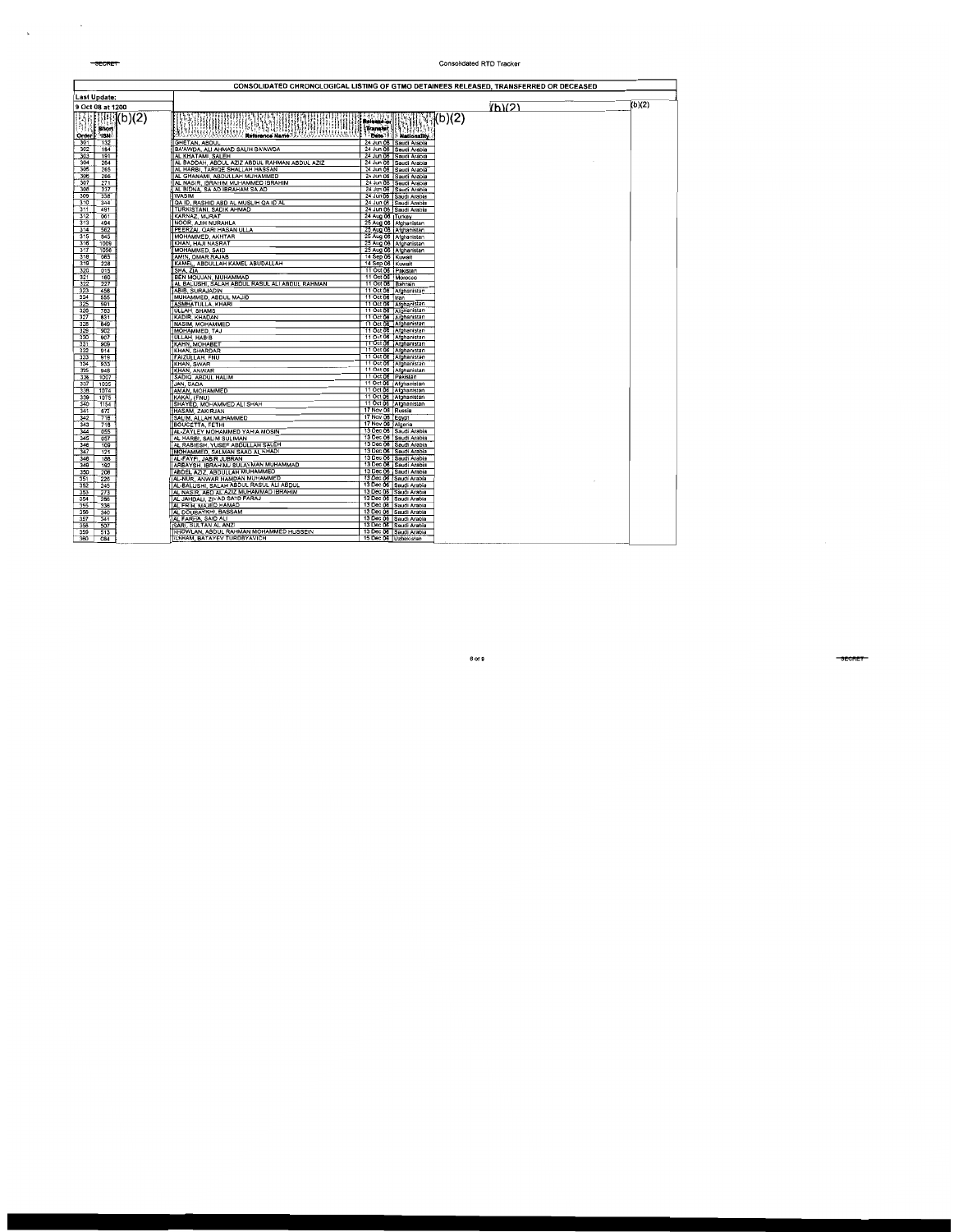| CONSOLIDATED CHRONOLOGICAL LISTING OF GTMO DETAINEES RELEASED, TRANSFERRED OR DECEASED                                                     |                                                                                                                                                                                                                                                                                                           |                                                                                                                                                                                                                                        |        |        |
|--------------------------------------------------------------------------------------------------------------------------------------------|-----------------------------------------------------------------------------------------------------------------------------------------------------------------------------------------------------------------------------------------------------------------------------------------------------------|----------------------------------------------------------------------------------------------------------------------------------------------------------------------------------------------------------------------------------------|--------|--------|
| Last Update:                                                                                                                               |                                                                                                                                                                                                                                                                                                           |                                                                                                                                                                                                                                        |        |        |
| 9 Oct 08 at 1200                                                                                                                           |                                                                                                                                                                                                                                                                                                           |                                                                                                                                                                                                                                        | (h)(2) | (b)(2) |
| b)(2)<br>Îб<br><b>Short</b><br>Order<br>$^{\prime}$ 13N<br>301<br>132                                                                      | WHUTAN<br>uwas<br>Reference Name <sup>13</sup><br><b>GHETAN, ABDUL</b>                                                                                                                                                                                                                                    | (b)(2<br>145-11134<br>Release or<br>Transfer<br>Date <sup>31</sup> : Hationality<br>24 Jun 06 Saudi Arabia                                                                                                                             |        |        |
| 302<br>184<br>303<br>191<br>304<br>264<br>305<br>265<br>306<br>266<br>307<br>271<br>306<br>337<br>309<br>338<br>310<br>344                 | BA'AWDA, ALI AHMAD SALIH BA'AWDA<br>AL KHATAMI, SALEH<br>AL BADDAH, ABDUL AZIZ ABDUL RAHMAN ABDUL AZIZ<br>AL HARBI, TARIQE SHALLAH HASSAN<br>AL GHANAMI, ABOULLAH MUHAMMED<br>AL NASIR, IBRAHIM MUHAMMED IBRAHIM<br>AL BIDNA, SA AD IBRAHAM SA AD<br><b>WASIM</b><br>QA ID, RASHID ABD AL MUSLIH QA ID AL | 24 Jun 06 Saudi Arabia<br>24 Jun 06 Saudi Arabia<br>24 Jun 06 Saudi Arabia<br>24 Jun 06 Saudi Arabia<br>24 Jun 06 Saudi Arabia<br>24 Jun 06 Saudi Arabia<br>24 Jun 06 Saudi Arabia<br>24 Jun 06 Saudi Arabia<br>24 Jun 06 Saudi Arabia |        |        |
| 311<br>491<br>312<br>061<br>313<br>494<br>314<br>562<br>315<br>845<br>1009<br>316<br>1056<br>317<br>318<br>065<br>228<br>319<br>320<br>015 | TURKISTANI, SADIK AHMAD<br>KARNAZ, MURAT<br>NOOR, AJIH NURAHLA<br>PEERZAI, OAR! HASAN ULLA<br>MOHAMMED, AKHTAR<br>KHAN, HAJI NASRAT<br>MOHAMMED, SAID<br>AMIN, OMAR RAJAB<br>KAMEL, ABDULLAH KAMEL ABUDALLAH<br>SHA, ZIA                                                                                  | 24 Jun 06 Saudi Arabia<br>24 Aug 06 Turkey<br>25 Aug 06 Afghanistan<br>25 Aug 06 Afghanistan<br>25 Aug 06 Afghanistan<br>25 Aug 06 Afghanistan<br>14 Sep 06 Kuwait<br>14 Sep 06 Kuwait<br>11 Oct 06 Pakistan                           |        |        |
| 321<br>160<br>322<br>227<br>323<br>458<br>324<br>555<br>325<br>591<br>326<br>783<br>327<br>831<br>328<br>849<br>329<br>902                 | <b>BEN MOUJAN, MUHAMMAD</b><br>AL BALUSHI, SALAH ABDUL RASUL ALI ABDUL RAHMAN<br>ABIB, SURAJADIN<br>MUHAMMED, ABDUL MAJID<br><b>ASMHATULLA, KHARI</b><br>ULLAH, SHAMS<br>KADIR, KHADAN<br>NASIM, MOHAMMED                                                                                                 | 11 Oct 06 Morocco<br>11 Oct 06 Bahrain<br>11 Oct 06 Afghanistan<br>11 Oct 06 Tiran<br>11 Oct 06 Afghanistan<br>11 Oct 06 Afghanistan<br>11 Oct 06 Afghanistan<br>11 Oct 06 Afghanistan                                                 |        |        |
| 330<br>907<br>331<br>909<br>332<br>914<br>333<br>919<br>334<br>933<br>335<br>948<br>336<br>1007<br>337<br>1035                             | MOHAMMED. TAJ<br>ULLAH, HABIB<br>KAHN, MOHABET<br>KHAN, SHARDAR<br>FAIZULLAH, FNU<br>KHAN, SWAR<br>KHAN, ANWAR<br>SADIO, ABOUL HALIM<br><b>JAN, SADA</b>                                                                                                                                                  | 11 Oct 06 Afghanistan<br>11 Oct 06 Afghanistan<br>11 Oct 06 Afghanistan<br>11 Oct 06 Afghanistan<br>11 Oct 06 Afghanistan<br>11 Oct 06 Afghanistan<br>11 Oct 06 Afghanistan<br>11 Oct 06 Pakistan<br>11 Oct 06 Afghanistan             |        |        |
| 338<br>1074<br>339<br>1075<br>340<br>1154<br>341<br>672<br>342<br>716<br>343<br>718<br>344<br>055<br>345<br>057<br>346<br>109              | AMAN, MOHAMMED<br>KAKAI, (FNU)<br>SHAYED, MOHAMMED ALI SHAH<br>HASAM, ZAKIRJAN<br>SALIM, ALLAH MUHAMMED<br><b>BOUCETTA, FETHI</b><br>AL-ZAYLEY MOHAMMED YAHIA MOSIN<br>AL HARBI, SALIM SULIMAN<br>AL RABIESH. YUSEF ABDULLAH SALEH                                                                        | 11 Oct 06 Afghanistan<br>11 Oct 06 Afghanistan<br>11 Oct 06 Afghanistan<br>17 Nov 06 Russia<br>17 Nov 06 Eqypt<br>17 Nov 06 Algeria<br>13 Dec 06 Saudi Arabia<br>13 Dec 06 Saudi Arabia<br>13 Dec 08 Saudi Arabia                      |        |        |
| 347<br>121<br>348<br>188<br>349<br>192<br>350<br>206<br>351<br>226<br>352<br>245<br>353<br>273<br>286<br>354                               | MOHAMMED, SALMAN SAAD AL KHADI<br>AL-FAYFI, JABIR JUBRAN<br>ARBAYSH, IBRAHIMJ SULAYMAN MUHAMMAD<br>ABDEL AZIZ. ABDULLAH MUHAMMED<br>AL-NUR. ANWAR HAMDAN MUHAMMED<br>AL-BALUSHI, SALAH ABDUL RASUL ALI ABDUL<br>AL NASIR, ABD AL AZIZ MUHAMMAD BRAHIM<br>AL JAHDALI, ZIYAD SA'ID FARAJ                    | 13 Dec 06 Saudi Arabia<br>13 Dec 06 Saudi Arabia<br>13 Dec 06 Saudi Arabia<br>13 Dec 06 Saudi Arabia<br>13 Dec 06 Saudi Arabia<br>13 Dec 06 Saudi Arabia<br>13 Dec 06 Saudi Arabia<br>13 Dec 06 Saudi Arabia                           |        |        |
| 355<br>336<br>356<br>340<br>357<br>341<br>358<br>507<br>359<br>513<br>360<br>084                                                           | AL FRIH, MAJED HAMAD<br>AL DOUBAYKHI, BASSAM<br>AL FARMA, SAID ALI<br>SARI, SULTAN AL ANZI<br>KHOWLAN, ABDUL RAHMAN MOHAMMED HUSSEIN<br>ILKHAM, BATAYEV TURDBYAVICH                                                                                                                                       | 13 Dec 06 Saudi Arabia<br>13 Dec 06 Saudi Arabia<br>13 Dec 06 Saudi Arabia<br>13 Dec 06 Saudi Arabia<br>13 Dec 06 Saudi Arabia<br>15 Dec 06 Uzbekistan                                                                                 |        |        |

 $\mathcal{L}^{\mathcal{L}}(\mathcal{L}^{\mathcal{L}})$  . The set of  $\mathcal{L}^{\mathcal{L}}(\mathcal{L}^{\mathcal{L}})$ 

-secret

 $\sim$   $\sim$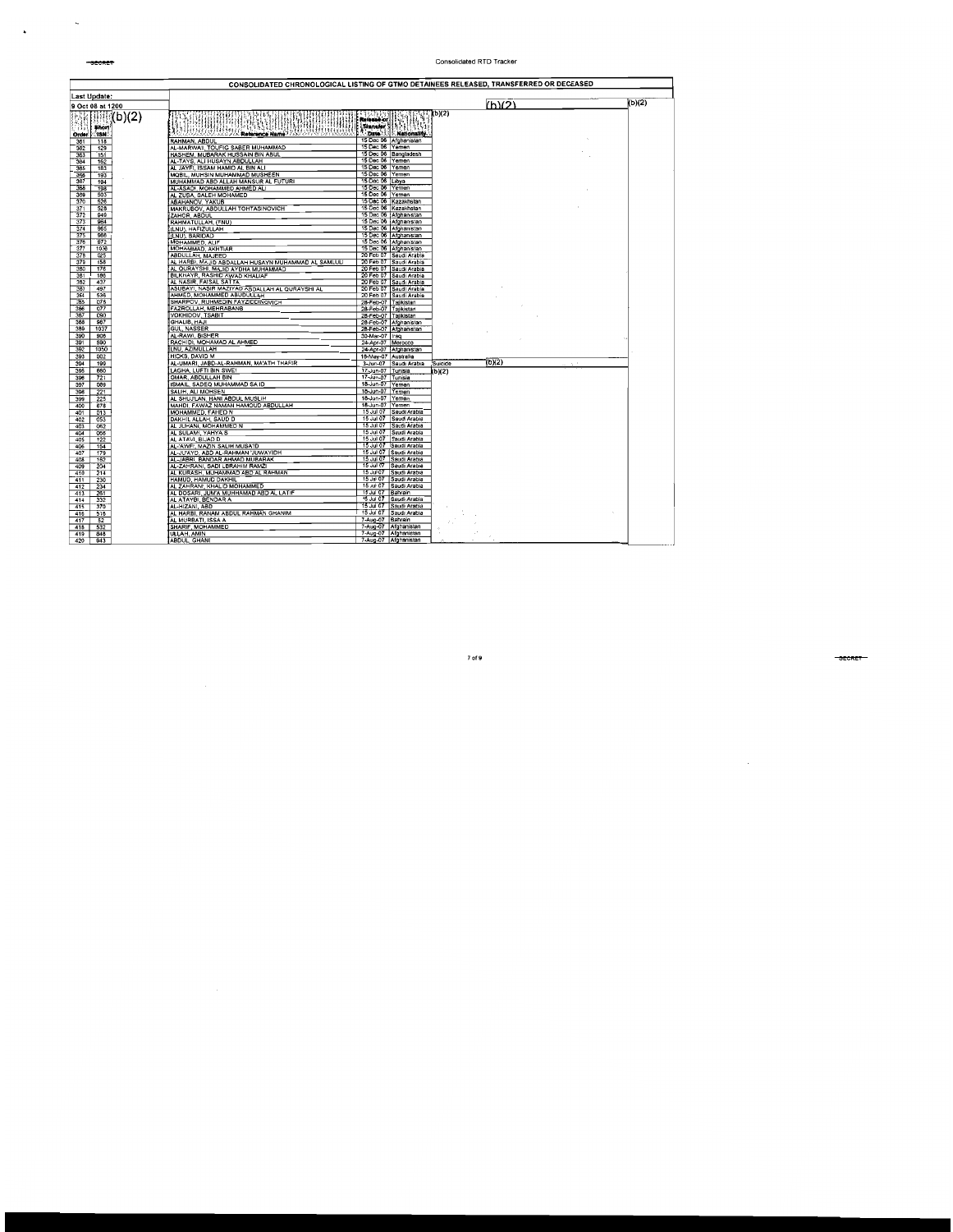| CONSOLIDATED CHRONOLOGICAL LISTING OF GTMO DETAINEES RELEASED, TRANSFERRED OR DECEASED                                                                                                                                                                                                                                            |                                                                                                                                                                                                                                                                                                                                                                                                                                                                                                                                                                                                                   |                                                                                                                                                                                                                                                                                                                                                                                                                                                                                                           |                   |        |  |
|-----------------------------------------------------------------------------------------------------------------------------------------------------------------------------------------------------------------------------------------------------------------------------------------------------------------------------------|-------------------------------------------------------------------------------------------------------------------------------------------------------------------------------------------------------------------------------------------------------------------------------------------------------------------------------------------------------------------------------------------------------------------------------------------------------------------------------------------------------------------------------------------------------------------------------------------------------------------|-----------------------------------------------------------------------------------------------------------------------------------------------------------------------------------------------------------------------------------------------------------------------------------------------------------------------------------------------------------------------------------------------------------------------------------------------------------------------------------------------------------|-------------------|--------|--|
| Last Update:                                                                                                                                                                                                                                                                                                                      |                                                                                                                                                                                                                                                                                                                                                                                                                                                                                                                                                                                                                   |                                                                                                                                                                                                                                                                                                                                                                                                                                                                                                           |                   |        |  |
| 9 Oct 08 at 1200                                                                                                                                                                                                                                                                                                                  |                                                                                                                                                                                                                                                                                                                                                                                                                                                                                                                                                                                                                   |                                                                                                                                                                                                                                                                                                                                                                                                                                                                                                           | (h)(2)            | (b)(2) |  |
| b)(2)<br><b>Bhort</b><br>ି ISN ି<br>Order <sup>:</sup><br>361<br>118<br>362<br>129<br>363<br>151<br>364<br>162<br>365<br>183<br>366<br>193<br>367<br>194<br>368<br>198<br>369<br>503<br>370<br>526<br>371<br>528<br>372<br>949<br>373<br>964<br>374<br>965<br>966<br>375<br>972<br>376<br>377<br>1036<br>378<br>025<br>379<br>158 | <b>WANDAR</b><br><u>MUNICUS</u><br>15322<br>Reference Name<br>RAHMAN, ABDUL<br>AL-MARWA'I, TOUFIG SABER MUHAMMAD<br>HASHEM, MUBARAK HUSSAIN BIN ABUL<br>AL-TAYS, ALI HUSAYN ABDULLAH<br>AL JAYFI, ISSAM HAMID AL BIN ALI<br>MOBIL, MUHSIN MUHAMMAD MUSHEEN<br>MUHAMMAD ABD ALLAH MANSUR AL FUTURI<br>AL-ASADI, MOHAMMED AHMED ALI<br>AL ZUBA, SALEH MOHAMED<br>ABAHANOV, YAKUB<br>MAKRUBOV, ABDULLAH TOHTASINOVICH<br>ZAHOR, ABDUL<br>RAHMATULLAH, (FNU)<br>(LNU), HAFIZULLAH<br>(LNU), BARIDAD<br>MOHAMMED, ALIF<br>MOHAMMAD, AKHTIAR<br>ABDULLAH, MAJEED<br>AL HARBI, MAJID ABDALLAH HUSAYN MUHAMMAD AL SAMLULI | <b>Release or</b><br><b>URransfer</b><br>Date Nationality<br>15 Dec 06 Afghanistan<br>15 Dec 06 Yemen<br>15 Dec 06 Bangladesh<br>15 Dec 06 Yemen<br>15 Dec 08 Yemen<br>15 Dec 06 Yemen<br>15 Dec 06 Libya<br>15 Dec 06 Yemen<br>15 Dec 06 Yemen<br>15 Dec 06 Kazakhstan<br>15 Dec 06 Kazakhstan<br>15 Dec 06 Afghanistan<br>15 Dec 06 Afghanistan<br>15 Dec 06 Afghanistan<br>15 Dec 06 Afghanistan<br>15 Dec 06 Afghanistan<br>15 Dec 06 Afghanistan<br>20 Feb 07 Saudi Arabia<br>20 Feb 07 Saudi Arabia | (b)(2)            |        |  |
| 176<br>380<br>186<br>381<br>382<br>437<br>383<br>497<br>384<br>536<br>385<br>078<br>386<br>077<br>367<br>090<br>388<br>987<br>389<br>1037<br>390<br>906<br>590<br>391<br>392<br>1050<br>393<br>002                                                                                                                                | AL QURAYSHI, MAJID AYDHA MUHAMMAD<br>BILKHAYR, RASHID AWAD KHALIAF<br>AL NASIR, FAISAL SATTA<br>ASUBAYI, NASIR MAZIYAD ABDALLAH AL QURAYSHI AL<br>AHMED, MOHAMMED ABUDULLAH<br>SHARPOV. RUHMEDIN FAYZIDDINOVICH<br>FAZROLLAH, MEHRABANB<br><b>VOKHIDOV, TSABIT</b><br>GHALIB, HAJI<br><b>GUL, NASSER</b><br>AL-RAWI, BISHER<br>RACHIDI, MOHAMAD AL AHMED<br>LNU, AZIMULLAH<br><b>HICKS, DAVID M</b>                                                                                                                                                                                                               | 20 Feb 07 Saudi Arabia<br>20 Feb 07 Saudi Arabia<br>20 Feb 07 Saudi Arabia<br>20 Feb 07 Saudi Arabia<br>20 Feb 07 Saudi Arabia<br>28-Feb-07 Tajikistan<br>28-Feb-07 Tajikistan<br>28-Feb-07 Tajikistan<br>28-Feb-07 Afghanistan<br>28-Feb-07 Afghanistan<br>30-Mar-07 Iraq<br>24-Apr-07 Morocco<br>24-Apr-07 Afghanistan<br>18-May-07 Australia                                                                                                                                                           |                   |        |  |
| 394<br>199                                                                                                                                                                                                                                                                                                                        | AL-UMARI. JABD-AL-RAHMAN. MA'ATH THAFIR                                                                                                                                                                                                                                                                                                                                                                                                                                                                                                                                                                           | 3-Jun-07 Saudi Arabia                                                                                                                                                                                                                                                                                                                                                                                                                                                                                     | (b)(2)<br>Suicide |        |  |
| 660<br>395<br>721<br>396<br>397<br>089<br>221<br>398<br>225<br>399<br>400<br>678<br>401<br>013<br>402<br>053<br>403<br>062<br>404<br>066<br>122<br>405<br>154<br>406<br>407<br>179                                                                                                                                                | LAGHA, LUFTI BIN SWEI<br>OMAR. ABOULLAH BIN<br>ISMAIL, SADEQ MUHAMMAD SA ID<br>SALIH, ALI MOHSEN<br>AL SHUJ'LAN, HANI ABDUL MUSLIH<br>MAHDI, FAWAZ NAMAN HAMOUD ABDULLAH<br>MOHAMMED, FAHED N<br>DAKHIL ALLAH, SAUD D<br>AL JUHANI, MOHAMMED N<br>AL SULAMI, YAHYA S<br>AL ATAVI, BIJAD D<br>AL-'AWF!, MAZIN SALIH MUSA'ID<br>AL-JU'AYD, ABD AL-RAHMAN 'JUWAYIDH                                                                                                                                                                                                                                                  | 17-Jun-07 Tunisia<br>17-Jun-07 Tunisia<br>18-Jun-07 Yemen<br>18-Jun-07 Yemen<br>18-Jun-07 Yemen<br>18-Jun-07 Yemen<br>15 Jul 07 Saudi Arabia<br>15 Jul 07 Saudi Arabia<br>15 Jul 07 Saudi Arabia<br>15 Jul 07 Saudi Arabia<br>15 Jul 07 Saudi Arabia<br>15 Jul 07 Saudi Arabia<br>15 Jul 07 Saudi Arabia                                                                                                                                                                                                  | (b)(2)            |        |  |
| 408<br>182<br>204<br>409<br>214<br>410<br>230<br>411<br>412<br>234<br>261<br>413<br>414<br>332<br>370<br>415<br>416<br>516<br>417<br>52<br>418<br>532<br>419<br>848<br>420<br>943                                                                                                                                                 | AL-JABRI, BANDAR AHMAD MUBARAK<br>AL-ZAHRANI, SADI LBRAHIM RAMZI<br>AL KURASH, MUHAMMAD ABD AL RAHMAN<br>HAMUD, HAMUD DAKHIL<br>AL ZAHRANI, KHALID MOHAMMED<br>AL DOSARI, JUM'A MUHHAMAD ABD AL LATIF<br>AL ATAYBI, BENDAR A<br>AL-HIZANI, ABD<br>AL HARBI, RANAM ABDUL RAHMAN GHANIM<br>AL MURBATI, ISSA A<br>SHARIF, MOHAMMED<br><b>ULLAH, AMIN</b><br><b>ABDUL, GHANI</b>                                                                                                                                                                                                                                      | 15 Jul 07 Saudi Arabia<br>15 Jul 07 Saudi Arabia<br>15 Jul 07 Saudi Arabia<br>15 Jul 07 Saudi Arabia<br>15 Jul 07 Saudi Arabia<br>15 Jul 07 Bahrain<br>15 Jul 07 Saudi Arabia<br>15 Jul 07 Saudi Arabia<br>15 Jul 07 Saudi Arabia<br>7-Aug-07 Bahrain<br>7-Aug-07 Afghanistan<br>7-Aug-07 Afghanistan<br>7-Aug-07 Afghanistan                                                                                                                                                                             |                   |        |  |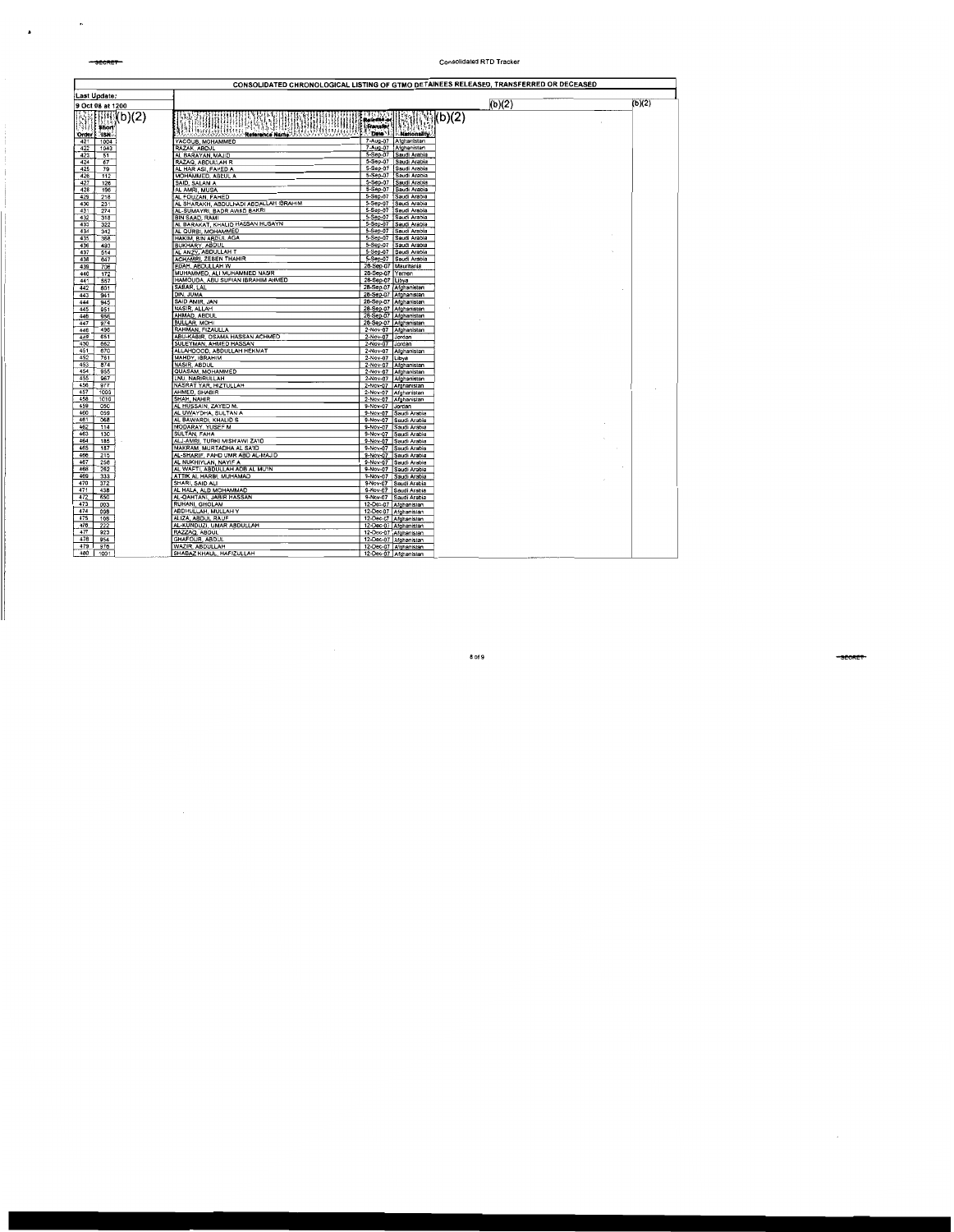|                                      |                                                                       | CONSOLIDATED CHRONOLOGICAL LISTING OF GTMO DETAINEES RELEASED. TRANSFERRED OR DECEASED |        |        |
|--------------------------------------|-----------------------------------------------------------------------|----------------------------------------------------------------------------------------|--------|--------|
| Last Update:                         |                                                                       |                                                                                        |        |        |
| 9 Oct 08 at 1200                     |                                                                       |                                                                                        | (b)(2) | (b)(2) |
| b)(2)                                |                                                                       | 14571544<br>b)(2)<br>Release o                                                         |        |        |
| <b>Short</b><br><b>TISN</b><br>Order | <b>MUAN</b><br>3959399433<br>Reference Name                           | <b>Transfer</b><br>Date 1:<br>Mationality.                                             |        |        |
| 421<br>1004                          | YACOUB, MOHAMMED                                                      | 7-Aug-07 Afghanistan                                                                   |        |        |
| 422<br>1043                          | RAZAK, ABDUL                                                          | 7-Aug-07 Afghanistan                                                                   |        |        |
| 423<br>51                            | AL BARAYAN, MAJID                                                     | 5-Sep-07 Saudi Arabia                                                                  |        |        |
| 424<br>67<br>425<br>79               | RAZAQ, ABDULLAH R<br>AL HAR ASI. FAHED A                              | 5-Sep-07 Saudi Arabia<br>5-Sep-07 Saudi Arabia                                         |        |        |
| 426<br>112                           | MOHAMMED, ABDUL A                                                     | 5-Sep-07 Saudi Arabia                                                                  |        |        |
| 427<br>126                           | SAID, SALAM A                                                         | 5-Sep-07<br>Saudi Arabia                                                               |        |        |
| 428<br>196                           | AL AMRI. MUSA                                                         | 5-Sep-07<br>Saudi Arabia                                                               |        |        |
| 429<br>218                           | AL FOUZAN, FAHED                                                      | $5-Sap-07$<br>Saudi Arabia                                                             |        |        |
| 430<br>231<br>431<br>274             | AL SHARAKH, ABDULHADI ABDALLAH IBRAHIM<br>AL-SUMAYRI, BADR AWAD BAKRI | 5-Sep-07 Saudi Arabia<br>5-Sep-07 Saudi Arabia                                         |        |        |
| 432<br>318                           | <b>BIN SAAD, RAMI</b>                                                 | 5-Sep-07 Saudi Arabia                                                                  |        |        |
| 433<br>322                           | AL BARAKAT, KHALID HASSAN HUSAYN                                      | 5-Sep-07 Saudi Arabia                                                                  |        |        |
| 434<br>342                           | AL QURBI, MOHAMMED                                                    | 5-Sep-07 Saudi Arabia                                                                  |        |        |
| 435<br>368                           | HAKIM, BIN ABDUL AGA                                                  | 5-Sep-07 Saudi Arabia                                                                  |        |        |
| 436<br>493<br>437<br>514             | <b>BUKHARY, ABDUL</b><br>AL ANZY, ABDULLAH T                          | 5-Sep-07 Saudi Arabia<br>5-Sep-07 Saudi Arabia                                         |        |        |
| 438<br>647                           | <b>ACHAMRI, ZEBEN THAHIR</b>                                          | 5-Sep-07 Saudi Arabia                                                                  |        |        |
| 439<br>706                           | EDAH, ABDULLAH W                                                      | 26-Sep-07 Mauritania                                                                   |        |        |
| 440<br>172                           | MUHAMMED, ALI MUHAMMED NASIR                                          | 28-Sep-07 Yemen                                                                        |        |        |
| 441<br>557                           | HAMOUDA. ABU SUFIAN IBRAHIM AHMED                                     | 28-Sep-07 Libya                                                                        |        |        |
| 442<br>801                           | SABAR, LAL                                                            | 28-Sep-07 Afghanistan                                                                  |        |        |
| 443<br>941<br>444<br>945             | DIN, JUMA<br>SAID AMIR, JAN                                           | 28-Sep-07 Afghanistan                                                                  |        |        |
| 445<br>951                           | NASIR, ALLAH                                                          | 28-Sep-07 Afghanistan<br>28-Sep-07 Afghanistan                                         |        |        |
| 446<br>956                           | AHMAD, ABDUL                                                          | 28-Sep-07 Afghanistan                                                                  |        |        |
| 447<br>974                           | <b>BULLAR, MOHI</b>                                                   | 26-Sep-07 Afghanistan                                                                  |        |        |
| 448<br>496                           | RAHMAN, FIZAULLA                                                      | 2-Nov-07 Afghanistan                                                                   |        |        |
| 449<br>651                           | ABU-KABIR, OSAMA HASSAN ACHMEO                                        | 2-Nov-07 Jordan                                                                        |        |        |
| 450<br>662<br>451<br>670             | SULEYMAN, AHMED HASSAN<br>ALLAHDOOD, ABDULLAH HEKMAT                  | 2-Nov-07 Jordan<br>2-Nov-07 Alghanistan                                                |        |        |
| 452<br>761                           | <b>MAHDY, IBRAHIM</b>                                                 | 2-Nov-07 Libya                                                                         |        |        |
| 453<br>874                           | NASIR, ABDUL                                                          | 2-Nov-07 Afghanistan                                                                   |        |        |
| 454<br>955                           | QUASAM, MOHAMMED                                                      | 2-Nov-07 Afghanistan                                                                   |        |        |
| 455<br>967                           | LNU, NARIRULLAH                                                       | 2-Nov-07 Alghanistan                                                                   |        |        |
| 456<br>977<br>457<br>1003            | NASRAT YAR, HIZTULLAH<br>AHMED, SHABIR                                | 2-Nov-07 Afghanistan                                                                   |        |        |
| 458<br>1010                          | SHAH, NAHIR                                                           | 2-Nov-07 Afghanistan<br>2-Nov-07 Afghanistan                                           |        |        |
| 459<br>050                           | AL HUSSAIN, ZAYED M.                                                  | 9-Nov-07<br>Jordan                                                                     |        |        |
| 460<br>059                           | AL UWAYDHA, SULTAN A                                                  | $9-Nov-07$<br>Saudi Arabia                                                             |        |        |
| 461<br>880                           | AL BAWARDI, KHALID S                                                  | $9-Nov-07$<br>Saudi Arabia                                                             |        |        |
| 462<br>114<br>463<br>130             | <b>MODARAY, YUSEF M</b><br><b>SULTAN, FAHA</b>                        | $9-Nov-07$<br>Saudi Arabia<br>9-Nov-07<br>Saudi Arabia                                 |        |        |
| 464<br>185                           | ALJ-AMRI, TURKI MISH'AWI ZA'ID                                        | 9-Nov-07 Saudi Arabia                                                                  |        |        |
| 465<br>187                           | MAKRAM, MURTADHA AL SA'ID                                             | 9-Nov-07 Saudi Arabia                                                                  |        |        |
| 466<br>215                           | AL-SHARIF. FAHD UMR ABD AL-MAJID                                      | 9-Nov-07 Saudi Arabia                                                                  |        |        |
| 467<br>258                           | AL NUKHIYLAN, NAYIF A                                                 | 9-Nov-07 Saudi Arabia                                                                  |        |        |
| 468<br>262<br>469<br>333             | AL WAFTI, ABDULLAH ADB AL MU'IN<br>ATTIK AL HARBI, MUHAMAD            | 9-Nov-07 Saudi Arabia                                                                  |        |        |
| 470<br>372                           | SHARI, SAID ALI                                                       | 9-Nov-07 Saudi Arabia<br>9-Nov-07 Saudi Arabia                                         |        |        |
| 471<br>438                           | AL HALA, ALD MOHAMMAD                                                 | 9-Nov-07 Saudi Arabia                                                                  |        |        |
| 472<br>650                           | AL-OAHTANI, JABIR HASSAN                                              | 9-Nov-07 Saudi Arabia                                                                  |        |        |
| 473<br>003                           | RUHANI, GHOLAM                                                        | 12-Dec-07 Afghanistan                                                                  |        |        |
| 474<br>008<br>475                    | <b>ABDHULLAH, MULLAH Y</b>                                            | 12-Dec-07 Afghanistan                                                                  |        |        |
| 108<br>476<br>222                    | ALIZA, ABDUL RAUF<br>AL-KUNDUZI, UMAR ABDULLAH                        | 12-Dec-07 Afghanistan<br>12-Dec-07 Afghanistan                                         |        |        |
| 477<br>923                           | RAZZAQ, ABDUL                                                         | 12-Dec-07 Afghanistan                                                                  |        |        |
| 478<br>954                           | GHAFOUR, ABDUL                                                        | 12-Dec-07 Afghanistan                                                                  |        |        |
| 479<br>976                           | WAZIR ABDULLAH                                                        | 12-Dec-07 Afghanistan                                                                  |        |        |
| 480<br>1001                          | SHABAZ KHAUL, HAFIZULLAH                                              | 12-Dec-07 Afghanistan                                                                  |        |        |